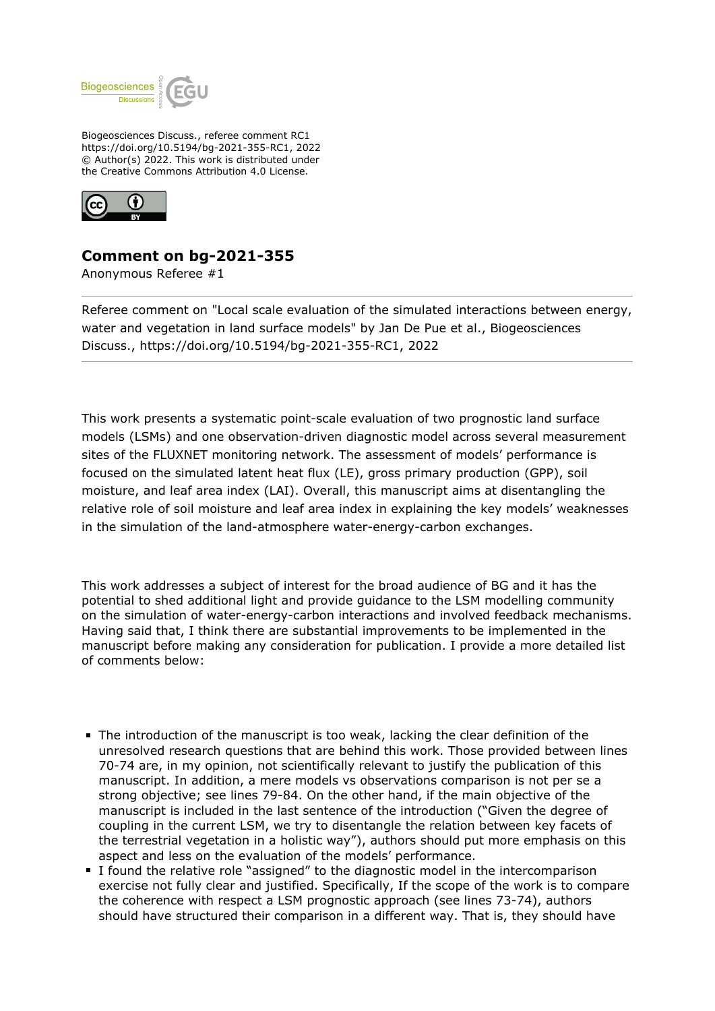

Biogeosciences Discuss., referee comment RC1 https://doi.org/10.5194/bg-2021-355-RC1, 2022 © Author(s) 2022. This work is distributed under the Creative Commons Attribution 4.0 License.



## **Comment on bg-2021-355**

Anonymous Referee #1

Referee comment on "Local scale evaluation of the simulated interactions between energy, water and vegetation in land surface models" by Jan De Pue et al., Biogeosciences Discuss., https://doi.org/10.5194/bg-2021-355-RC1, 2022

This work presents a systematic point-scale evaluation of two prognostic land surface models (LSMs) and one observation-driven diagnostic model across several measurement sites of the FLUXNET monitoring network. The assessment of models' performance is focused on the simulated latent heat flux (LE), gross primary production (GPP), soil moisture, and leaf area index (LAI). Overall, this manuscript aims at disentangling the relative role of soil moisture and leaf area index in explaining the key models' weaknesses in the simulation of the land-atmosphere water-energy-carbon exchanges.

This work addresses a subject of interest for the broad audience of BG and it has the potential to shed additional light and provide guidance to the LSM modelling community on the simulation of water-energy-carbon interactions and involved feedback mechanisms. Having said that, I think there are substantial improvements to be implemented in the manuscript before making any consideration for publication. I provide a more detailed list of comments below:

- The introduction of the manuscript is too weak, lacking the clear definition of the unresolved research questions that are behind this work. Those provided between lines 70-74 are, in my opinion, not scientifically relevant to justify the publication of this manuscript. In addition, a mere models vs observations comparison is not per se a strong objective; see lines 79-84. On the other hand, if the main objective of the manuscript is included in the last sentence of the introduction ("Given the degree of coupling in the current LSM, we try to disentangle the relation between key facets of the terrestrial vegetation in a holistic way"), authors should put more emphasis on this aspect and less on the evaluation of the models' performance.
- I found the relative role "assigned" to the diagnostic model in the intercomparison exercise not fully clear and justified. Specifically, If the scope of the work is to compare the coherence with respect a LSM prognostic approach (see lines 73-74), authors should have structured their comparison in a different way. That is, they should have